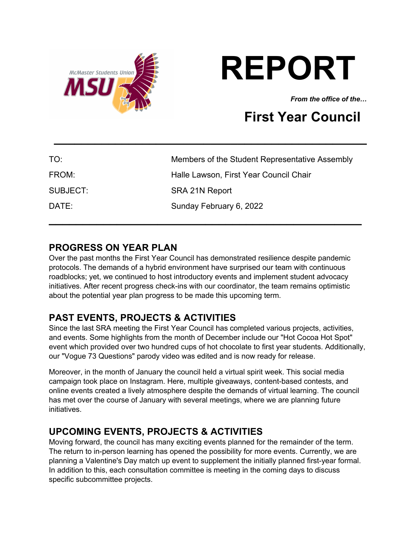

# **REPORT**

*From the office of the…*

# **First Year Council**

| TO:      | Members of the Student Representative Assembly |
|----------|------------------------------------------------|
| FROM:    | Halle Lawson, First Year Council Chair         |
| SUBJECT: | SRA 21N Report                                 |
| DATE:    | Sunday February 6, 2022                        |
|          |                                                |

**\_\_\_\_\_\_\_\_\_\_\_\_\_\_\_\_\_\_\_\_\_\_\_\_\_\_\_\_\_\_\_\_\_\_\_\_\_\_\_\_\_\_\_\_\_\_**

# **PROGRESS ON YEAR PLAN**

Over the past months the First Year Council has demonstrated resilience despite pandemic protocols. The demands of a hybrid environment have surprised our team with continuous roadblocks; yet, we continued to host introductory events and implement student advocacy initiatives. After recent progress check-ins with our coordinator, the team remains optimistic about the potential year plan progress to be made this upcoming term.

# **PAST EVENTS, PROJECTS & ACTIVITIES**

Since the last SRA meeting the First Year Council has completed various projects, activities, and events. Some highlights from the month of December include our "Hot Cocoa Hot Spot" event which provided over two hundred cups of hot chocolate to first year students. Additionally, our "Vogue 73 Questions" parody video was edited and is now ready for release.

Moreover, in the month of January the council held a virtual spirit week. This social media campaign took place on Instagram. Here, multiple giveaways, content-based contests, and online events created a lively atmosphere despite the demands of virtual learning. The council has met over the course of January with several meetings, where we are planning future initiatives.

# **UPCOMING EVENTS, PROJECTS & ACTIVITIES**

Moving forward, the council has many exciting events planned for the remainder of the term. The return to in-person learning has opened the possibility for more events. Currently, we are planning a Valentine's Day match up event to supplement the initially planned first-year formal. In addition to this, each consultation committee is meeting in the coming days to discuss specific subcommittee projects.